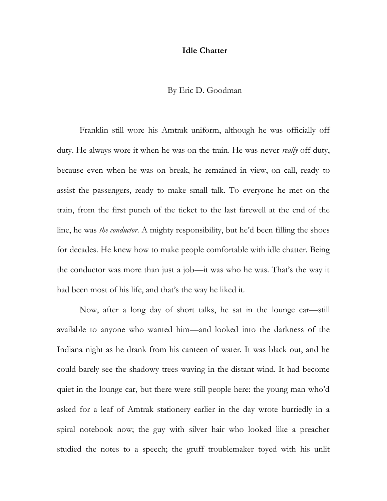## **Idle Chatter**

# By Eric D. Goodman

Franklin still wore his Amtrak uniform, although he was officially off duty. He always wore it when he was on the train. He was never *really* off duty, because even when he was on break, he remained in view, on call, ready to assist the passengers, ready to make small talk. To everyone he met on the train, from the first punch of the ticket to the last farewell at the end of the line, he was *the conductor*. A mighty responsibility, but he'd been filling the shoes for decades. He knew how to make people comfortable with idle chatter. Being the conductor was more than just a job—it was who he was. That's the way it had been most of his life, and that's the way he liked it.

Now, after a long day of short talks, he sat in the lounge car—still available to anyone who wanted him—and looked into the darkness of the Indiana night as he drank from his canteen of water. It was black out, and he could barely see the shadowy trees waving in the distant wind. It had become quiet in the lounge car, but there were still people here: the young man who'd asked for a leaf of Amtrak stationery earlier in the day wrote hurriedly in a spiral notebook now; the guy with silver hair who looked like a preacher studied the notes to a speech; the gruff troublemaker toyed with his unlit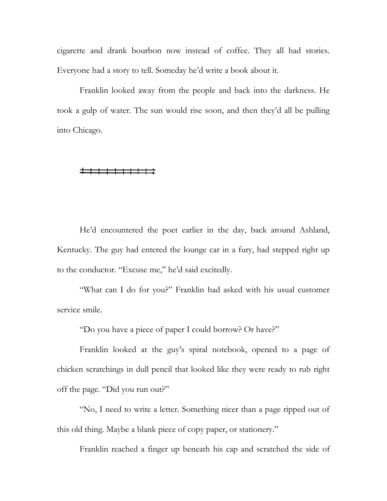cigarette and drank bourbon now instead of coffee. They all had stories. Everyone had a story to tell. Someday he'd write a book about it.

Franklin looked away from the people and back into the darkness. He took a gulp of water. The sun would rise soon, and then they'd all be pulling into Chicago.

He'd encountered the poet earlier in the day, back around Ashland, Kentucky. The guy had entered the lounge car in a fury, had stepped right up to the conductor. "Excuse me," he'd said excitedly.

"What can I do for you?" Franklin had asked with his usual customer service smile.

"Do you have a piece of paper I could borrow? Or have?"

Franklin looked at the guy's spiral notebook, opened to a page of chicken scratchings in dull pencil that looked like they were ready to rub right off the page. "Did you run out?"

"No, I need to write a letter. Something nicer than a page ripped out of this old thing. Maybe a blank piece of copy paper, or stationery."

Franklin reached a finger up beneath his cap and scratched the side of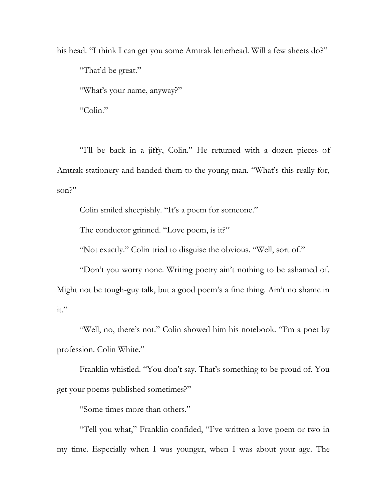his head. "I think I can get you some Amtrak letterhead. Will a few sheets do?" "That'd be great." "What's your name, anyway?"

"Colin."

"I'll be back in a jiffy, Colin." He returned with a dozen pieces of Amtrak stationery and handed them to the young man. "What's this really for, son?"

Colin smiled sheepishly. "It's a poem for someone."

The conductor grinned. "Love poem, is it?"

"Not exactly." Colin tried to disguise the obvious. "Well, sort of."

"Don't you worry none. Writing poetry ain't nothing to be ashamed of. Might not be tough-guy talk, but a good poem's a fine thing. Ain't no shame in  $it."$ 

"Well, no, there's not." Colin showed him his notebook. "I'm a poet by profession. Colin White."

Franklin whistled. "You don't say. That's something to be proud of. You get your poems published sometimes?"

"Some times more than others."

"Tell you what," Franklin confided, "I've written a love poem or two in my time. Especially when I was younger, when I was about your age. The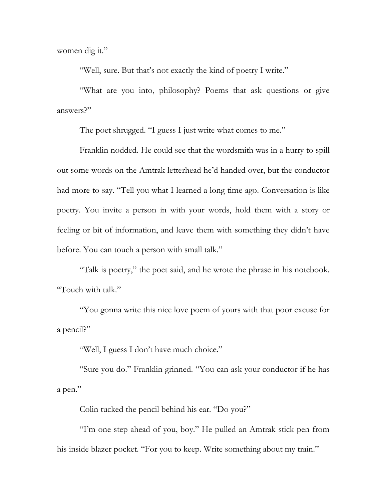women dig it."

"Well, sure. But that's not exactly the kind of poetry I write."

"What are you into, philosophy? Poems that ask questions or give answers?"

The poet shrugged. "I guess I just write what comes to me."

Franklin nodded. He could see that the wordsmith was in a hurry to spill out some words on the Amtrak letterhead he'd handed over, but the conductor had more to say. "Tell you what I learned a long time ago. Conversation is like poetry. You invite a person in with your words, hold them with a story or feeling or bit of information, and leave them with something they didn't have before. You can touch a person with small talk."

"Talk is poetry," the poet said, and he wrote the phrase in his notebook. "Touch with talk."

"You gonna write this nice love poem of yours with that poor excuse for a pencil?"

"Well, I guess I don't have much choice."

"Sure you do." Franklin grinned. "You can ask your conductor if he has a pen."

Colin tucked the pencil behind his ear. "Do you?"

"I'm one step ahead of you, boy." He pulled an Amtrak stick pen from his inside blazer pocket. "For you to keep. Write something about my train."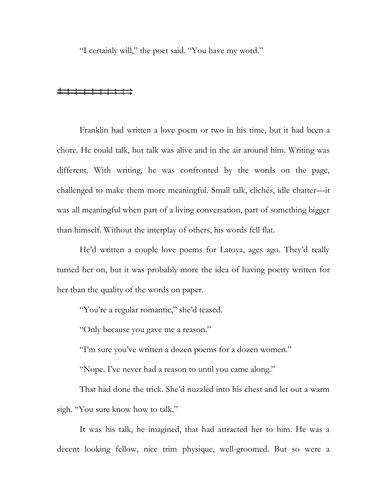"I certainly will," the poet said. "You have my word."

## 

Franklin had written a love poem or two in his time, but it had been a chore. He could talk, but talk was alive and in the air around him. Writing was different. With writing, he was confronted by the words on the page, challenged to make them more meaningful. Small talk, clichés, idle chatter—it was all meaningful when part of a living conversation, part of something bigger than himself. Without the interplay of others, his words fell flat.

He'd written a couple love poems for Latoya, ages ago. They'd really turned her on, but it was probably more the idea of having poetry written for her than the quality of the words on paper.

"You're a regular romantic," she'd teased.

"Only because you gave me a reason."

"I'm sure you've written a dozen poems for a dozen women."

"Nope. I've never had a reason to until you came along."

That had done the trick. She'd nuzzled into his chest and let out a warm sigh. "You sure know how to talk."

It was his talk, he imagined, that had attracted her to him. He was a decent looking fellow, nice trim physique, well-groomed. But so were a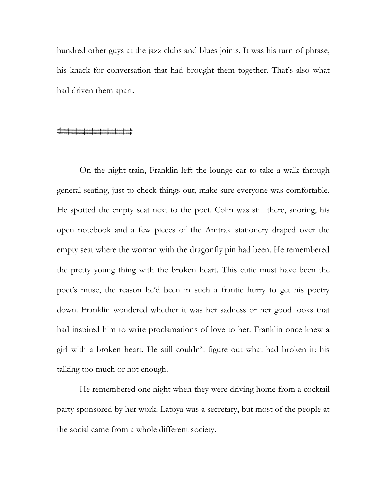hundred other guys at the jazz clubs and blues joints. It was his turn of phrase, his knack for conversation that had brought them together. That's also what had driven them apart.

On the night train, Franklin left the lounge car to take a walk through general seating, just to check things out, make sure everyone was comfortable. He spotted the empty seat next to the poet. Colin was still there, snoring, his open notebook and a few pieces of the Amtrak stationery draped over the empty seat where the woman with the dragonfly pin had been. He remembered the pretty young thing with the broken heart. This cutie must have been the poet's muse, the reason he'd been in such a frantic hurry to get his poetry down. Franklin wondered whether it was her sadness or her good looks that had inspired him to write proclamations of love to her. Franklin once knew a girl with a broken heart. He still couldn't figure out what had broken it: his talking too much or not enough.

He remembered one night when they were driving home from a cocktail party sponsored by her work. Latoya was a secretary, but most of the people at the social came from a whole different society.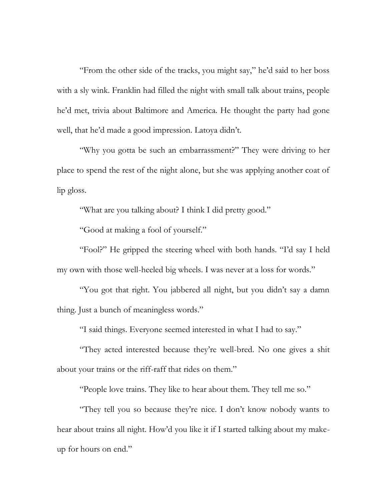"From the other side of the tracks, you might say," he'd said to her boss with a sly wink. Franklin had filled the night with small talk about trains, people he'd met, trivia about Baltimore and America. He thought the party had gone well, that he'd made a good impression. Latoya didn't.

"Why you gotta be such an embarrassment?" They were driving to her place to spend the rest of the night alone, but she was applying another coat of lip gloss.

"What are you talking about? I think I did pretty good."

"Good at making a fool of yourself."

"Fool?" He gripped the steering wheel with both hands. "I'd say I held my own with those well-heeled big wheels. I was never at a loss for words."

"You got that right. You jabbered all night, but you didn't say a damn thing. Just a bunch of meaningless words."

"I said things. Everyone seemed interested in what I had to say."

"They acted interested because they're well-bred. No one gives a shit about your trains or the riff-raff that rides on them."

"People love trains. They like to hear about them. They tell me so."

"They tell you so because they're nice. I don't know nobody wants to hear about trains all night. How'd you like it if I started talking about my makeup for hours on end."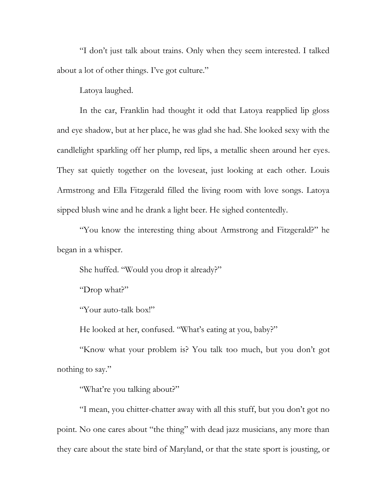"I don't just talk about trains. Only when they seem interested. I talked about a lot of other things. I've got culture."

Latoya laughed.

In the car, Franklin had thought it odd that Latoya reapplied lip gloss and eye shadow, but at her place, he was glad she had. She looked sexy with the candlelight sparkling off her plump, red lips, a metallic sheen around her eyes. They sat quietly together on the loveseat, just looking at each other. Louis Armstrong and Ella Fitzgerald filled the living room with love songs. Latoya sipped blush wine and he drank a light beer. He sighed contentedly.

"You know the interesting thing about Armstrong and Fitzgerald?" he began in a whisper.

She huffed. "Would you drop it already?"

"Drop what?"

"Your auto-talk box!"

He looked at her, confused. "What's eating at you, baby?"

"Know what your problem is? You talk too much, but you don't got nothing to say."

"What're you talking about?"

"I mean, you chitter-chatter away with all this stuff, but you don't got no point. No one cares about "the thing" with dead jazz musicians, any more than they care about the state bird of Maryland, or that the state sport is jousting, or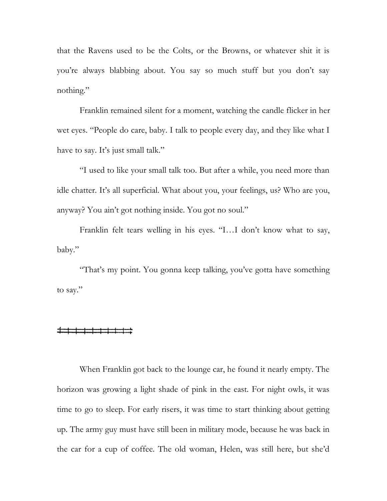that the Ravens used to be the Colts, or the Browns, or whatever shit it is you're always blabbing about. You say so much stuff but you don't say nothing."

Franklin remained silent for a moment, watching the candle flicker in her wet eyes. "People do care, baby. I talk to people every day, and they like what I have to say. It's just small talk."

"I used to like your small talk too. But after a while, you need more than idle chatter. It's all superficial. What about you, your feelings, us? Who are you, anyway? You ain't got nothing inside. You got no soul."

Franklin felt tears welling in his eyes. "I…I don't know what to say, baby."

"That's my point. You gonna keep talking, you've gotta have something to say."

When Franklin got back to the lounge car, he found it nearly empty. The horizon was growing a light shade of pink in the east. For night owls, it was time to go to sleep. For early risers, it was time to start thinking about getting up. The army guy must have still been in military mode, because he was back in the car for a cup of coffee. The old woman, Helen, was still here, but she'd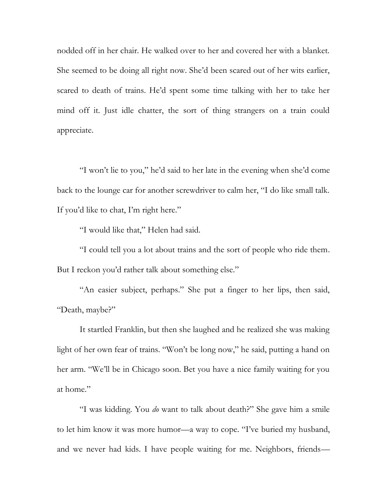nodded off in her chair. He walked over to her and covered her with a blanket. She seemed to be doing all right now. She'd been scared out of her wits earlier, scared to death of trains. He'd spent some time talking with her to take her mind off it. Just idle chatter, the sort of thing strangers on a train could appreciate.

"I won't lie to you," he'd said to her late in the evening when she'd come back to the lounge car for another screwdriver to calm her, "I do like small talk. If you'd like to chat, I'm right here."

"I would like that," Helen had said.

"I could tell you a lot about trains and the sort of people who ride them. But I reckon you'd rather talk about something else."

"An easier subject, perhaps." She put a finger to her lips, then said, "Death, maybe?"

It startled Franklin, but then she laughed and he realized she was making light of her own fear of trains. "Won't be long now," he said, putting a hand on her arm. "We'll be in Chicago soon. Bet you have a nice family waiting for you at home."

"I was kidding. You *do* want to talk about death?" She gave him a smile to let him know it was more humor—a way to cope. "I've buried my husband, and we never had kids. I have people waiting for me. Neighbors, friends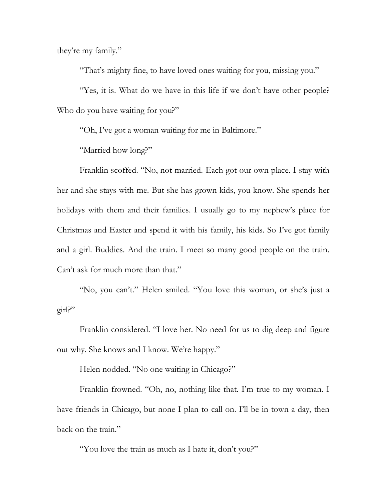they're my family."

"That's mighty fine, to have loved ones waiting for you, missing you."

"Yes, it is. What do we have in this life if we don't have other people? Who do you have waiting for you?"

"Oh, I've got a woman waiting for me in Baltimore."

"Married how long?"

Franklin scoffed. "No, not married. Each got our own place. I stay with her and she stays with me. But she has grown kids, you know. She spends her holidays with them and their families. I usually go to my nephew's place for Christmas and Easter and spend it with his family, his kids. So I've got family and a girl. Buddies. And the train. I meet so many good people on the train. Can't ask for much more than that."

"No, you can't." Helen smiled. "You love this woman, or she's just a girl?"

Franklin considered. "I love her. No need for us to dig deep and figure out why. She knows and I know. We're happy."

Helen nodded. "No one waiting in Chicago?"

Franklin frowned. "Oh, no, nothing like that. I'm true to my woman. I have friends in Chicago, but none I plan to call on. I'll be in town a day, then back on the train."

"You love the train as much as I hate it, don't you?"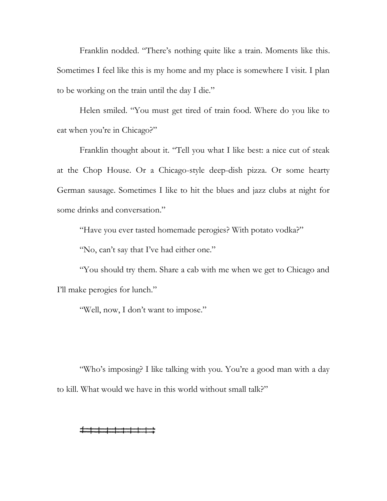Franklin nodded. "There's nothing quite like a train. Moments like this. Sometimes I feel like this is my home and my place is somewhere I visit. I plan to be working on the train until the day I die."

Helen smiled. "You must get tired of train food. Where do you like to eat when you're in Chicago?"

Franklin thought about it. "Tell you what I like best: a nice cut of steak at the Chop House. Or a Chicago-style deep-dish pizza. Or some hearty German sausage. Sometimes I like to hit the blues and jazz clubs at night for some drinks and conversation."

"Have you ever tasted homemade perogies? With potato vodka?"

"No, can't say that I've had either one."

"You should try them. Share a cab with me when we get to Chicago and I'll make perogies for lunch."

"Well, now, I don't want to impose."

"Who's imposing? I like talking with you. You're a good man with a day to kill. What would we have in this world without small talk?"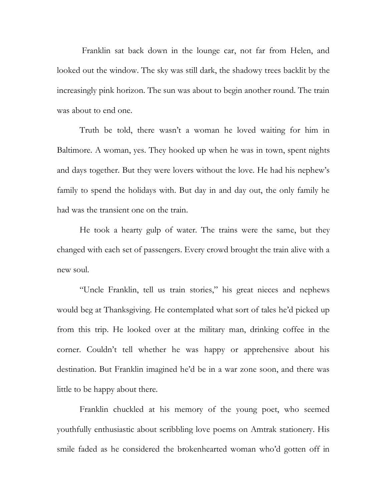Franklin sat back down in the lounge car, not far from Helen, and looked out the window. The sky was still dark, the shadowy trees backlit by the increasingly pink horizon. The sun was about to begin another round. The train was about to end one.

Truth be told, there wasn't a woman he loved waiting for him in Baltimore. A woman, yes. They hooked up when he was in town, spent nights and days together. But they were lovers without the love. He had his nephew's family to spend the holidays with. But day in and day out, the only family he had was the transient one on the train.

He took a hearty gulp of water. The trains were the same, but they changed with each set of passengers. Every crowd brought the train alive with a new soul.

"Uncle Franklin, tell us train stories," his great nieces and nephews would beg at Thanksgiving. He contemplated what sort of tales he'd picked up from this trip. He looked over at the military man, drinking coffee in the corner. Couldn't tell whether he was happy or apprehensive about his destination. But Franklin imagined he'd be in a war zone soon, and there was little to be happy about there.

Franklin chuckled at his memory of the young poet, who seemed youthfully enthusiastic about scribbling love poems on Amtrak stationery. His smile faded as he considered the brokenhearted woman who'd gotten off in